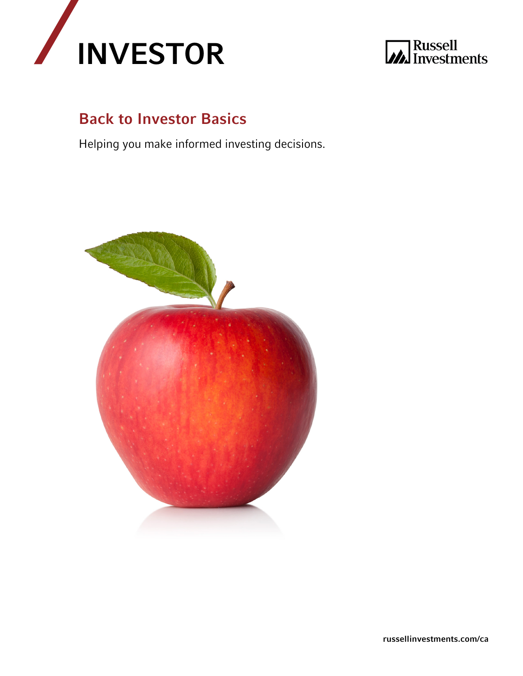



### Back to Investor Basics

Helping you make informed investing decisions.

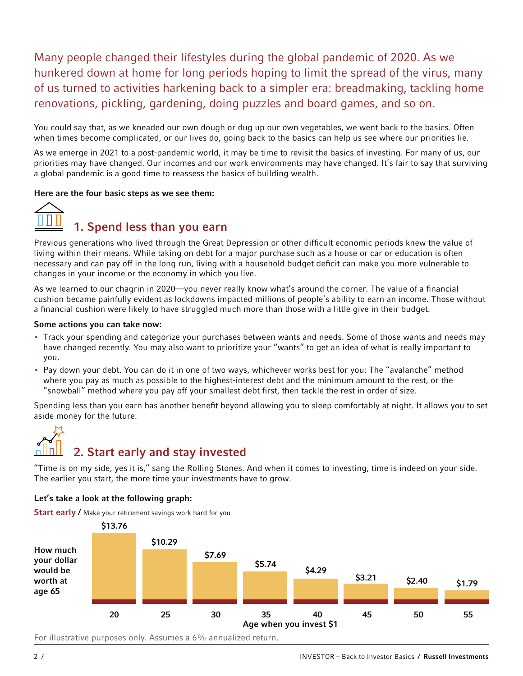### Many people changed their lifestyles during the global pandemic of 2020. As we hunkered down at home for long periods hoping to limit the spread of the virus, many of us turned to activities harkening back to a simpler era: breadmaking, tackling home renovations, pickling, gardening, doing puzzles and board games, and so on.

You could say that, as we kneaded our own dough or dug up our own vegetables, we went back to the basics. Often when times become complicated, or our lives do, going back to the basics can help us see where our priorities lie.

As we emerge in 2021 to a post-pandemic world, it may be time to revisit the basics of investing. For many of us, our priorities may have changed. Our incomes and our work environments may have changed. It's fair to say that surviving a global pandemic is a good time to reassess the basics of building wealth.

### Here are the four basic steps as we see them:



Previous generations who lived through the Great Depression or other difficult economic periods knew the value of living within their means. While taking on debt for a major purchase such as a house or car or education is often necessary and can pay off in the long run, living with a household budget deficit can make you more vulnerable to changes in your income or the economy in which you live.

As we learned to our chagrin in 2020—you never really know what's around the corner. The value of a financial cushion became painfully evident as lockdowns impacted millions of people's ability to earn an income. Those without a financial cushion were likely to have struggled much more than those with a little give in their budget.

### Some actions you can take now:

- Track your spending and categorize your purchases between wants and needs. Some of those wants and needs may have changed recently. You may also want to prioritize your "wants" to get an idea of what is really important to you.
- Pay down your debt. You can do it in one of two ways, whichever works best for you: The "avalanche" method where you pay as much as possible to the highest-interest debt and the minimum amount to the rest, or the "snowball" method where you pay off your smallest debt first, then tackle the rest in order of size.

Spending less than you earn has another benefit beyond allowing you to sleep comfortably at night. It allows you to set aside money for the future.

## 2. Start early and stay invested

"Time is on my side, yes it is," sang the Rolling Stones. And when it comes to investing, time is indeed on your side. The earlier you start, the more time your investments have to grow.

### Let's take a look at the following graph:

Start early / Make your retirement savings work hard for you

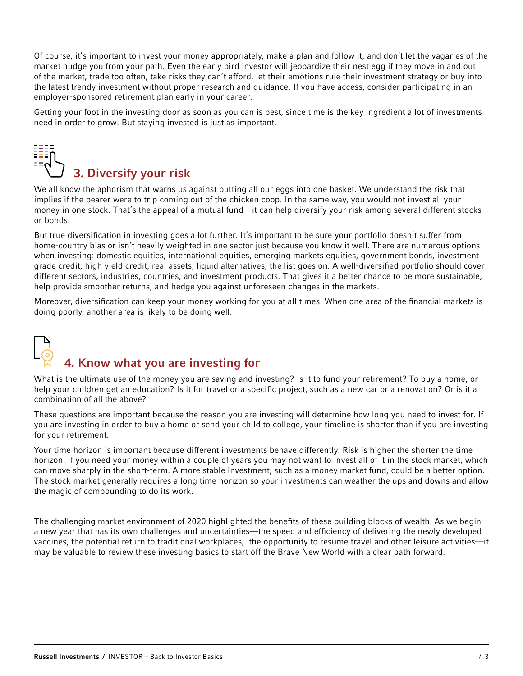Of course, it's important to invest your money appropriately, make a plan and follow it, and don't let the vagaries of the market nudge you from your path. Even the early bird investor will jeopardize their nest egg if they move in and out of the market, trade too often, take risks they can't afford, let their emotions rule their investment strategy or buy into the latest trendy investment without proper research and guidance. If you have access, consider participating in an employer-sponsored retirement plan early in your career.

Getting your foot in the investing door as soon as you can is best, since time is the key ingredient a lot of investments need in order to grow. But staying invested is just as important.



We all know the aphorism that warns us against putting all our eggs into one basket. We understand the risk that implies if the bearer were to trip coming out of the chicken coop. In the same way, you would not invest all your money in one stock. That's the appeal of a mutual fund—it can help diversify your risk among several different stocks or bonds.

But true diversification in investing goes a lot further. It's important to be sure your portfolio doesn't suffer from home-country bias or isn't heavily weighted in one sector just because you know it well. There are numerous options when investing: domestic equities, international equities, emerging markets equities, government bonds, investment grade credit, high yield credit, real assets, liquid alternatives, the list goes on. A well-diversified portfolio should cover different sectors, industries, countries, and investment products. That gives it a better chance to be more sustainable, help provide smoother returns, and hedge you against unforeseen changes in the markets.

Moreover, diversification can keep your money working for you at all times. When one area of the financial markets is doing poorly, another area is likely to be doing well.

# 4. Know what you are investing for

What is the ultimate use of the money you are saving and investing? Is it to fund your retirement? To buy a home, or help your children get an education? Is it for travel or a specific project, such as a new car or a renovation? Or is it a combination of all the above?

These questions are important because the reason you are investing will determine how long you need to invest for. If you are investing in order to buy a home or send your child to college, your timeline is shorter than if you are investing for your retirement.

Your time horizon is important because different investments behave differently. Risk is higher the shorter the time horizon. If you need your money within a couple of years you may not want to invest all of it in the stock market, which can move sharply in the short-term. A more stable investment, such as a money market fund, could be a better option. The stock market generally requires a long time horizon so your investments can weather the ups and downs and allow the magic of compounding to do its work.

The challenging market environment of 2020 highlighted the benefits of these building blocks of wealth. As we begin a new year that has its own challenges and uncertainties—the speed and efficiency of delivering the newly developed vaccines, the potential return to traditional workplaces, the opportunity to resume travel and other leisure activities—it may be valuable to review these investing basics to start off the Brave New World with a clear path forward.